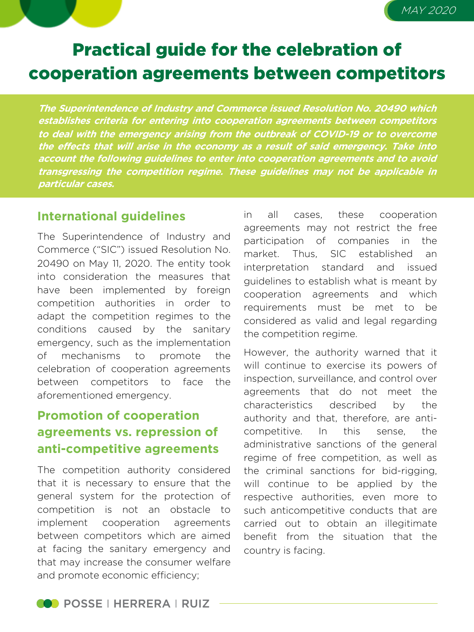# Practical guide for the celebration of cooperation agreements between competitors

**The Superintendence of Industry and Commerce issued Resolution No. 20490 which establishes criteria for entering into cooperation agreements between competitors to deal with the emergency arising from the outbreak of COVID-19 or to overcome the effects that will arise in the economy as <sup>a</sup> result of said emergency. Take into account the following guidelines to enter into cooperation agreements and to avoid transgressing the competition regime. These guidelines may not be applicable in particular cases.**

#### **International guidelines**

The Superintendence of Industry and Commerce ("SIC") issued Resolution No. 20490 on May 11, 2020. The entity took into consideration the measures that have been implemented by foreign competition authorities in order to adapt the competition regimes to the conditions caused by the sanitary emergency, such as the implementation of mechanisms to promote the celebration of cooperation agreements between competitors to face the aforementioned emergency.

## **Promotion of cooperation agreements vs. repression of anti-competitive agreements**

The competition authority considered that it is necessary to ensure that the general system for the protection of competition is not an obstacle to implement cooperation agreements between competitors which are aimed at facing the sanitary emergency and that may increase the consumer welfare and promote economic efficiency;

in all cases, these cooperation agreements may not restrict the free participation of companies in the market. Thus, SIC established an interpretation standard and issued guidelines to establish what is meant by cooperation agreements and which requirements must be met to be considered as valid and legal regarding the competition regime.

MAY 2020

However, the authority warned that it will continue to exercise its powers of inspection, surveillance, and control over agreements that do not meet the characteristics described by the authority and that, therefore, are anticompetitive. In this sense, the administrative sanctions of the general regime of free competition, as well as the criminal sanctions for bid-rigging, will continue to be applied by the respective authorities, even more to such anticompetitive conducts that are carried out to obtain an illegitimate benefit from the situation that the country is facing.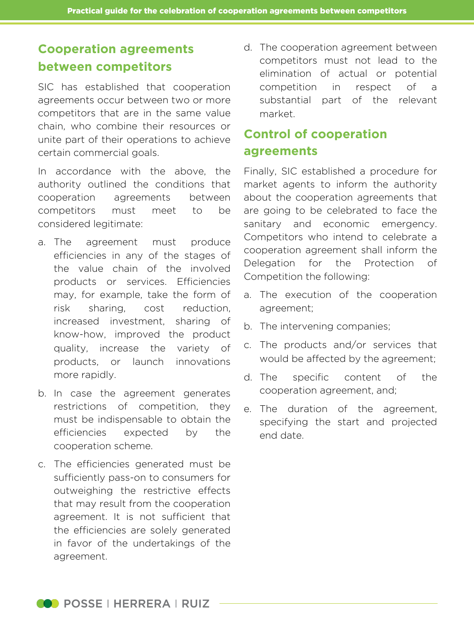## **Cooperation agreements between competitors**

SIC has established that cooperation agreements occur between two or more competitors that are in the same value chain, who combine their resources or unite part of their operations to achieve certain commercial goals.

In accordance with the above, the authority outlined the conditions that cooperation agreements between competitors must meet to be considered legitimate:

- a. The agreement must produce efficiencies in any of the stages of the value chain of the involved products or services. Efficiencies may, for example, take the form of risk sharing, cost reduction, increased investment, sharing of know-how, improved the product quality, increase the variety of products, or launch innovations more rapidly.
- b. In case the agreement generates restrictions of competition, they must be indispensable to obtain the efficiencies expected by the cooperation scheme.
- c. The efficiencies generated must be sufficiently pass-on to consumers for outweighing the restrictive effects that may result from the cooperation agreement. It is not sufficient that the efficiencies are solely generated in favor of the undertakings of the agreement.

d. The cooperation agreement between competitors must not lead to the elimination of actual or potential competition in respect of a substantial part of the relevant market.

#### **Control of cooperation agreements**

Finally, SIC established a procedure for market agents to inform the authority about the cooperation agreements that are going to be celebrated to face the sanitary and economic emergency. Competitors who intend to celebrate a cooperation agreement shall inform the Delegation for the Protection of Competition the following:

- a. The execution of the cooperation agreement;
- b. The intervening companies;
- c. The products and/or services that would be affected by the agreement;
- d. The specific content of the cooperation agreement, and;
- e. The duration of the agreement, specifying the start and projected end date.